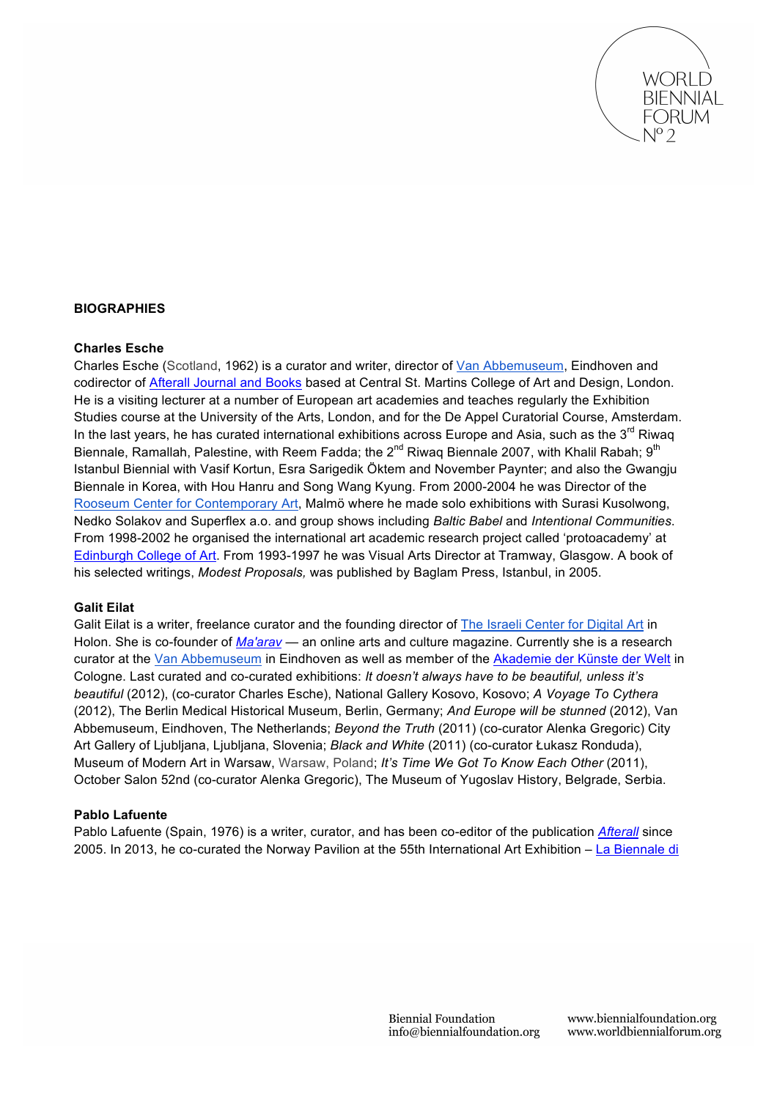

## **BIOGRAPHIES**

### **Charles Esche**

Charles Esche (Scotland, 1962) is a curator and writer, director of Van Abbemuseum, Eindhoven and codirector of Afterall Journal and Books based at Central St. Martins College of Art and Design, London. He is a visiting lecturer at a number of European art academies and teaches regularly the Exhibition Studies course at the University of the Arts, London, and for the De Appel Curatorial Course, Amsterdam. In the last years, he has curated international exhibitions across Europe and Asia, such as the  $3<sup>rd</sup>$  Riwaq Biennale, Ramallah, Palestine, with Reem Fadda; the 2<sup>nd</sup> Riwaq Biennale 2007, with Khalil Rabah; 9<sup>th</sup> Istanbul Biennial with Vasif Kortun, Esra Sarigedik Öktem and November Paynter; and also the Gwangju Biennale in Korea, with Hou Hanru and Song Wang Kyung. From 2000-2004 he was Director of the Rooseum Center for Contemporary Art, Malmö where he made solo exhibitions with Surasi Kusolwong, Nedko Solakov and Superflex a.o. and group shows including *Baltic Babel* and *Intentional Communities*. From 1998-2002 he organised the international art academic research project called 'protoacademy' at Edinburgh College of Art. From 1993-1997 he was Visual Arts Director at Tramway, Glasgow. A book of his selected writings, *Modest Proposals,* was published by Baglam Press, Istanbul, in 2005.

#### **Galit Eilat**

Galit Eilat is a writer, freelance curator and the founding director of The Israeli Center for Digital Art in Holon. She is co-founder of *Ma'arav* — an online arts and culture magazine. Currently she is a research curator at the Van Abbemuseum in Eindhoven as well as member of the Akademie der Künste der Welt in Cologne. Last curated and co-curated exhibitions: *It doesn't always have to be beautiful, unless it's beautiful* (2012), (co-curator Charles Esche), National Gallery Kosovo, Kosovo; *A Voyage To Cythera* (2012), The Berlin Medical Historical Museum, Berlin, Germany; *And Europe will be stunned* (2012), Van Abbemuseum, Eindhoven, The Netherlands; *Beyond the Truth* (2011) (co-curator Alenka Gregoric) City Art Gallery of Ljubljana, Ljubljana, Slovenia; *Black and White* (2011) (co-curator Łukasz Ronduda), Museum of Modern Art in Warsaw, Warsaw, Poland; *It's Time We Got To Know Each Other* (2011), October Salon 52nd (co-curator Alenka Gregoric), The Museum of Yugoslav History, Belgrade, Serbia.

### **Pablo Lafuente**

Pablo Lafuente (Spain, 1976) is a writer, curator, and has been co-editor of the publication *Afterall* since 2005. In 2013, he co-curated the Norway Pavilion at the 55th International Art Exhibition – La Biennale di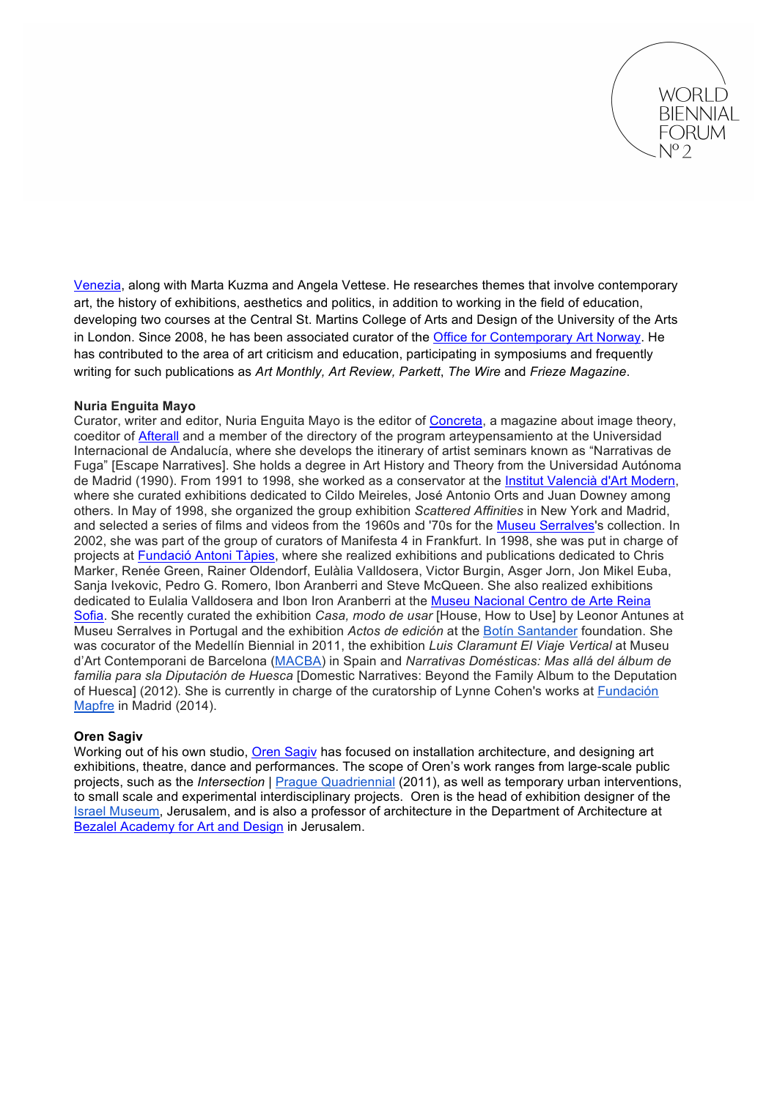

Venezia, along with Marta Kuzma and Angela Vettese. He researches themes that involve contemporary art, the history of exhibitions, aesthetics and politics, in addition to working in the field of education, developing two courses at the Central St. Martins College of Arts and Design of the University of the Arts in London. Since 2008, he has been associated curator of the Office for Contemporary Art Norway. He has contributed to the area of art criticism and education, participating in symposiums and frequently writing for such publications as *Art Monthly, Art Review, Parkett*, *The Wire* and *Frieze Magazine*.

## **Nuria Enguita Mayo**

Curator, writer and editor, Nuria Enguita Mayo is the editor of Concreta, a magazine about image theory, coeditor of Afterall and a member of the directory of the program arteypensamiento at the Universidad Internacional de Andalucía, where she develops the itinerary of artist seminars known as "Narrativas de Fuga" [Escape Narratives]. She holds a degree in Art History and Theory from the Universidad Autónoma de Madrid (1990). From 1991 to 1998, she worked as a conservator at the Institut Valencià d'Art Modern, where she curated exhibitions dedicated to Cildo Meireles, José Antonio Orts and Juan Downey among others. In May of 1998, she organized the group exhibition *Scattered Affinities* in New York and Madrid, and selected a series of films and videos from the 1960s and '70s for the Museu Serralves's collection. In 2002, she was part of the group of curators of Manifesta 4 in Frankfurt. In 1998, she was put in charge of projects at Fundació Antoni Tàpies, where she realized exhibitions and publications dedicated to Chris Marker, Renée Green, Rainer Oldendorf, Eulàlia Valldosera, Victor Burgin, Asger Jorn, Jon Mikel Euba, Sanja Ivekovic, Pedro G. Romero, Ibon Aranberri and Steve McQueen. She also realized exhibitions dedicated to Eulalia Valldosera and Ibon Iron Aranberri at the Museu Nacional Centro de Arte Reina Sofia. She recently curated the exhibition *Casa, modo de usar* [House, How to Use] by Leonor Antunes at Museu Serralves in Portugal and the exhibition *Actos de edición* at the Botín Santander foundation. She was cocurator of the Medellín Biennial in 2011, the exhibition *Luis Claramunt El Viaje Vertical* at Museu d'Art Contemporani de Barcelona (MACBA) in Spain and *Narrativas Domésticas: Mas allá del álbum de familia para sla Diputación de Huesca* [Domestic Narratives: Beyond the Family Album to the Deputation of Huesca] (2012). She is currently in charge of the curatorship of Lynne Cohen's works at Fundación Mapfre in Madrid (2014).

# **Oren Sagiv**

Working out of his own studio, Oren Sagiv has focused on installation architecture, and designing art exhibitions, theatre, dance and performances. The scope of Oren's work ranges from large-scale public projects, such as the *Intersection* | **Prague Quadriennial** (2011), as well as temporary urban interventions, to small scale and experimental interdisciplinary projects. Oren is the head of exhibition designer of the Israel Museum, Jerusalem, and is also a professor of architecture in the Department of Architecture at Bezalel Academy for Art and Design in Jerusalem.